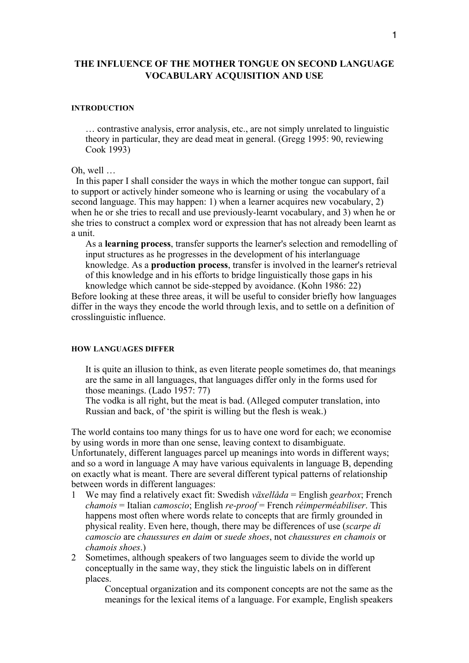# **THE INFLUENCE OF THE MOTHER TONGUE ON SECOND LANGUAGE VOCABULARY ACQUISITION AND USE**

## **INTRODUCTION**

… contrastive analysis, error analysis, etc., are not simply unrelated to linguistic theory in particular, they are dead meat in general. (Gregg 1995: 90, reviewing Cook 1993)

#### Oh, well …

 In this paper I shall consider the ways in which the mother tongue can support, fail to support or actively hinder someone who is learning or using the vocabulary of a second language. This may happen: 1) when a learner acquires new vocabulary, 2) when he or she tries to recall and use previously-learnt vocabulary, and 3) when he or she tries to construct a complex word or expression that has not already been learnt as a unit.

As a **learning process**, transfer supports the learner's selection and remodelling of input structures as he progresses in the development of his interlanguage knowledge. As a **production process**, transfer is involved in the learner's retrieval of this knowledge and in his efforts to bridge linguistically those gaps in his knowledge which cannot be side-stepped by avoidance. (Kohn 1986: 22)

Before looking at these three areas, it will be useful to consider briefly how languages differ in the ways they encode the world through lexis, and to settle on a definition of crosslinguistic influence.

## **HOW LANGUAGES DIFFER**

It is quite an illusion to think, as even literate people sometimes do, that meanings are the same in all languages, that languages differ only in the forms used for those meanings. (Lado 1957: 77)

The vodka is all right, but the meat is bad. (Alleged computer translation, into Russian and back, of 'the spirit is willing but the flesh is weak.)

The world contains too many things for us to have one word for each; we economise by using words in more than one sense, leaving context to disambiguate.

Unfortunately, different languages parcel up meanings into words in different ways; and so a word in language A may have various equivalents in language B, depending on exactly what is meant. There are several different typical patterns of relationship between words in different languages:

- 1 We may find a relatively exact fit: Swedish *växellåda* = English *gearbox*; French *chamois* = Italian *camoscio*; English *re-proof* = French *réimperméabiliser*. This happens most often where words relate to concepts that are firmly grounded in physical reality. Even here, though, there may be differences of use (*scarpe di camoscio* are *chaussures en daim* or *suede shoes*, not *chaussures en chamois* or *chamois shoes*.)
- 2 Sometimes, although speakers of two languages seem to divide the world up conceptually in the same way, they stick the linguistic labels on in different places.

Conceptual organization and its component concepts are not the same as the meanings for the lexical items of a language. For example, English speakers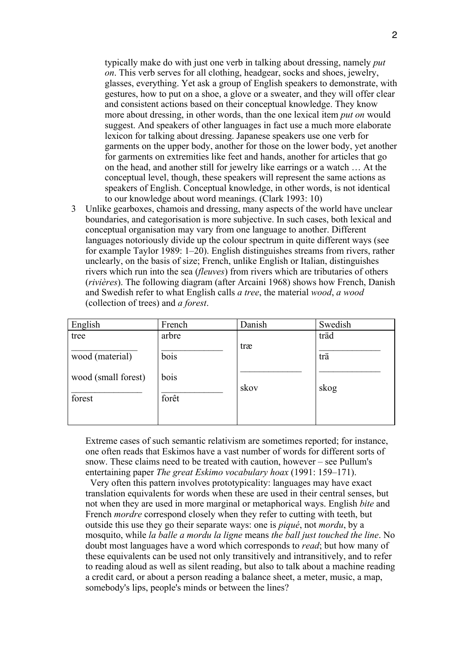typically make do with just one verb in talking about dressing, namely *put on*. This verb serves for all clothing, headgear, socks and shoes, jewelry, glasses, everything. Yet ask a group of English speakers to demonstrate, with gestures, how to put on a shoe, a glove or a sweater, and they will offer clear and consistent actions based on their conceptual knowledge. They know more about dressing, in other words, than the one lexical item *put on* would suggest. And speakers of other languages in fact use a much more elaborate lexicon for talking about dressing. Japanese speakers use one verb for garments on the upper body, another for those on the lower body, yet another for garments on extremities like feet and hands, another for articles that go on the head, and another still for jewelry like earrings or a watch … At the conceptual level, though, these speakers will represent the same actions as speakers of English. Conceptual knowledge, in other words, is not identical to our knowledge about word meanings. (Clark 1993: 10)

3 Unlike gearboxes, chamois and dressing, many aspects of the world have unclear boundaries, and categorisation is more subjective. In such cases, both lexical and conceptual organisation may vary from one language to another. Different languages notoriously divide up the colour spectrum in quite different ways (see for example Taylor 1989: 1–20). English distinguishes streams from rivers, rather unclearly, on the basis of size; French, unlike English or Italian, distinguishes rivers which run into the sea (*fleuves*) from rivers which are tributaries of others (*rivières*). The following diagram (after Arcaini 1968) shows how French, Danish and Swedish refer to what English calls *a tree*, the material *wood*, *a wood* (collection of trees) and *a forest*.

| English             | French | Danish | Swedish |
|---------------------|--------|--------|---------|
| tree                | arbre  |        | träd    |
|                     |        | træ    |         |
| wood (material)     | bois   |        | trä     |
| wood (small forest) | bois   | skov   | skog    |
| forest              | forêt  |        |         |
|                     |        |        |         |
|                     |        |        |         |

Extreme cases of such semantic relativism are sometimes reported; for instance, one often reads that Eskimos have a vast number of words for different sorts of snow. These claims need to be treated with caution, however – see Pullum's entertaining paper *The great Eskimo vocabulary hoax* (1991: 159–171).

 Very often this pattern involves prototypicality: languages may have exact translation equivalents for words when these are used in their central senses, but not when they are used in more marginal or metaphorical ways. English *bite* and French *mordre* correspond closely when they refer to cutting with teeth, but outside this use they go their separate ways: one is *piqué*, not *mordu*, by a mosquito, while *la balle a mordu la ligne* means *the ball just touched the line*. No doubt most languages have a word which corresponds to *read*; but how many of these equivalents can be used not only transitively and intransitively, and to refer to reading aloud as well as silent reading, but also to talk about a machine reading a credit card, or about a person reading a balance sheet, a meter, music, a map, somebody's lips, people's minds or between the lines?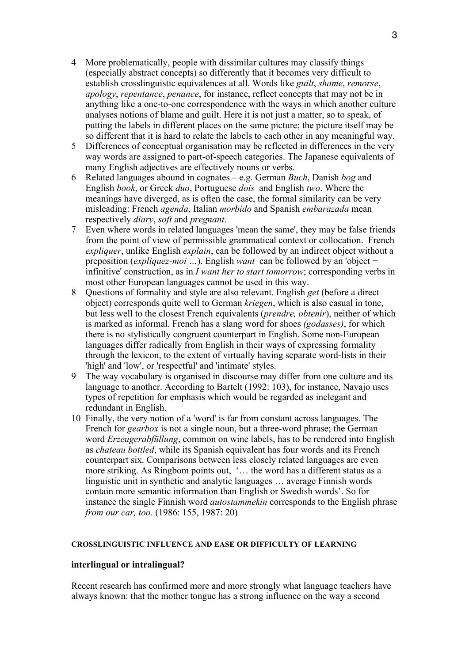- 4 More problematically, people with dissimilar cultures may classify things (especially abstract concepts) so differently that it becomes very difficult to establish crosslinguistic equivalences at all. Words like *guilt*, *shame*, *remorse*, *apology*, *repentance*, *penance*, for instance, reflect concepts that may not be in anything like a one-to-one correspondence with the ways in which another culture analyses notions of blame and guilt. Here it is not just a matter, so to speak, of putting the labels in different places on the same picture; the picture itself may be so different that it is hard to relate the labels to each other in any meaningful way.
- 5 Differences of conceptual organisation may be reflected in differences in the very way words are assigned to part-of-speech categories. The Japanese equivalents of many English adjectives are effectively nouns or verbs.
- 6 Related languages abound in cognates e.g. German *Buch*, Danish *bog* and English *book*, or Greek *duo*, Portuguese *dois* and English *two*. Where the meanings have diverged, as is often the case, the formal similarity can be very misleading: French *agenda*, Italian *morbido* and Spanish *embarazada* mean respectively *diary*, *soft* and *pregnant*.
- 7 Even where words in related languages 'mean the same', they may be false friends from the point of view of permissible grammatical context or collocation. French *expliquer*, unlike English *explain*, can be followed by an indirect object without a preposition (*expliquez-moi …*). English *want* can be followed by an 'object + infinitive' construction, as in *I want her to start tomorrow*; corresponding verbs in most other European languages cannot be used in this way.
- 8 Questions of formality and style are also relevant. English *get* (before a direct object) corresponds quite well to German *kriegen*, which is also casual in tone, but less well to the closest French equivalents (*prendre, obtenir*), neither of which is marked as informal. French has a slang word for shoes *(godasses)*, for which there is no stylistically congruent counterpart in English. Some non-European languages differ radically from English in their ways of expressing formality through the lexicon, to the extent of virtually having separate word-lists in their 'high' and 'low', or 'respectful' and 'intimate' styles.
- 9 The way vocabulary is organised in discourse may differ from one culture and its language to another. According to Bartelt (1992: 103), for instance, Navajo uses types of repetition for emphasis which would be regarded as inelegant and redundant in English.
- 10 Finally, the very notion of a 'word' is far from constant across languages. The French for *gearbox* is not a single noun, but a three-word phrase; the German word *Erzeugerabfüllung*, common on wine labels, has to be rendered into English as *chateau bottled*, while its Spanish equivalent has four words and its French counterpart six. Comparisons between less closely related languages are even more striking. As Ringbom points out, '… the word has a different status as a linguistic unit in synthetic and analytic languages … average Finnish words contain more semantic information than English or Swedish words'. So for instance the single Finnish word *autostammekin* corresponds to the English phrase *from our car, too*. (1986: 155, 1987: 20)

#### **CROSSLINGUISTIC INFLUENCE AND EASE OR DIFFICULTY OF LEARNING**

## **interlingual or intralingual?**

Recent research has confirmed more and more strongly what language teachers have always known: that the mother tongue has a strong influence on the way a second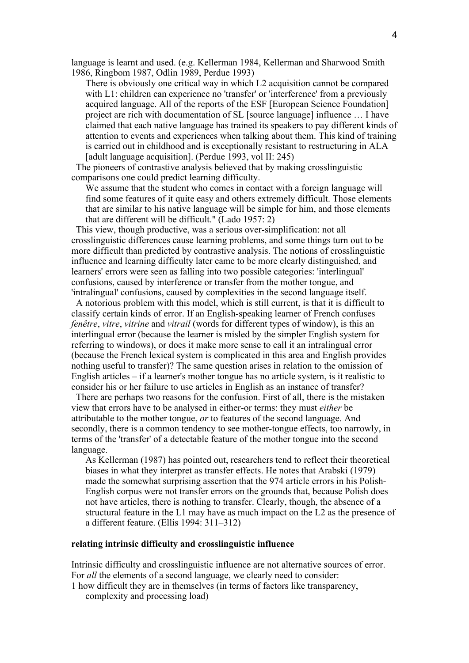language is learnt and used. (e.g. Kellerman 1984, Kellerman and Sharwood Smith 1986, Ringbom 1987, Odlin 1989, Perdue 1993)

There is obviously one critical way in which L2 acquisition cannot be compared with L1: children can experience no 'transfer' or 'interference' from a previously acquired language. All of the reports of the ESF [European Science Foundation] project are rich with documentation of SL [source language] influence … I have claimed that each native language has trained its speakers to pay different kinds of attention to events and experiences when talking about them. This kind of training is carried out in childhood and is exceptionally resistant to restructuring in ALA [adult language acquisition]. (Perdue 1993, vol II: 245)

 The pioneers of contrastive analysis believed that by making crosslinguistic comparisons one could predict learning difficulty.

We assume that the student who comes in contact with a foreign language will find some features of it quite easy and others extremely difficult. Those elements that are similar to his native language will be simple for him, and those elements that are different will be difficult." (Lado 1957: 2)

 This view, though productive, was a serious over-simplification: not all crosslinguistic differences cause learning problems, and some things turn out to be more difficult than predicted by contrastive analysis. The notions of crosslinguistic influence and learning difficulty later came to be more clearly distinguished, and learners' errors were seen as falling into two possible categories: 'interlingual' confusions, caused by interference or transfer from the mother tongue, and 'intralingual' confusions, caused by complexities in the second language itself.

 A notorious problem with this model, which is still current, is that it is difficult to classify certain kinds of error. If an English-speaking learner of French confuses *fenêtre*, *vitre*, *vitrine* and *vitrail* (words for different types of window), is this an interlingual error (because the learner is misled by the simpler English system for referring to windows), or does it make more sense to call it an intralingual error (because the French lexical system is complicated in this area and English provides nothing useful to transfer)? The same question arises in relation to the omission of English articles – if a learner's mother tongue has no article system, is it realistic to consider his or her failure to use articles in English as an instance of transfer?

 There are perhaps two reasons for the confusion. First of all, there is the mistaken view that errors have to be analysed in either-or terms: they must *either* be attributable to the mother tongue, *or* to features of the second language. And secondly, there is a common tendency to see mother-tongue effects, too narrowly, in terms of the 'transfer' of a detectable feature of the mother tongue into the second language.

As Kellerman (1987) has pointed out, researchers tend to reflect their theoretical biases in what they interpret as transfer effects. He notes that Arabski (1979) made the somewhat surprising assertion that the 974 article errors in his Polish-English corpus were not transfer errors on the grounds that, because Polish does not have articles, there is nothing to transfer. Clearly, though, the absence of a structural feature in the L1 may have as much impact on the L2 as the presence of a different feature. (Ellis 1994: 311–312)

#### **relating intrinsic difficulty and crosslinguistic influence**

Intrinsic difficulty and crosslinguistic influence are not alternative sources of error. For *all* the elements of a second language, we clearly need to consider:

1 how difficult they are in themselves (in terms of factors like transparency, complexity and processing load)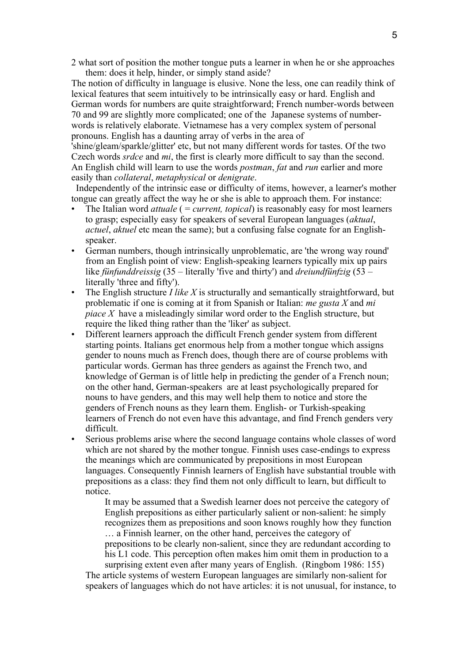2 what sort of position the mother tongue puts a learner in when he or she approaches them: does it help, hinder, or simply stand aside?

The notion of difficulty in language is elusive. None the less, one can readily think of lexical features that seem intuitively to be intrinsically easy or hard. English and German words for numbers are quite straightforward; French number-words between 70 and 99 are slightly more complicated; one of the Japanese systems of numberwords is relatively elaborate. Vietnamese has a very complex system of personal pronouns. English has a daunting array of verbs in the area of

'shine/gleam/sparkle/glitter' etc, but not many different words for tastes. Of the two Czech words *srdce* and *mi*, the first is clearly more difficult to say than the second. An English child will learn to use the words *postman*, *fat* and *run* earlier and more easily than *collateral*, *metaphysical* or *denigrate*.

 Independently of the intrinsic ease or difficulty of items, however, a learner's mother tongue can greatly affect the way he or she is able to approach them. For instance:

- The Italian word *attuale* (*= current, topical*) is reasonably easy for most learners to grasp; especially easy for speakers of several European languages (*aktual*, *actuel*, *aktuel* etc mean the same); but a confusing false cognate for an Englishspeaker.
- German numbers, though intrinsically unproblematic, are 'the wrong way round' from an English point of view: English-speaking learners typically mix up pairs like *fünfunddreissig* (35 – literally 'five and thirty') and *dreiundfünfzig* (53 – literally 'three and fifty').
- The English structure *I like X* is structurally and semantically straightforward, but problematic if one is coming at it from Spanish or Italian: *me gusta X* and *mi piace X* have a misleadingly similar word order to the English structure, but require the liked thing rather than the 'liker' as subject.
- Different learners approach the difficult French gender system from different starting points. Italians get enormous help from a mother tongue which assigns gender to nouns much as French does, though there are of course problems with particular words. German has three genders as against the French two, and knowledge of German is of little help in predicting the gender of a French noun; on the other hand, German-speakers are at least psychologically prepared for nouns to have genders, and this may well help them to notice and store the genders of French nouns as they learn them. English- or Turkish-speaking learners of French do not even have this advantage, and find French genders very difficult.
- Serious problems arise where the second language contains whole classes of word which are not shared by the mother tongue. Finnish uses case-endings to express the meanings which are communicated by prepositions in most European languages. Consequently Finnish learners of English have substantial trouble with prepositions as a class: they find them not only difficult to learn, but difficult to notice.

It may be assumed that a Swedish learner does not perceive the category of English prepositions as either particularly salient or non-salient: he simply recognizes them as prepositions and soon knows roughly how they function … a Finnish learner, on the other hand, perceives the category of prepositions to be clearly non-salient, since they are redundant according to his L1 code. This perception often makes him omit them in production to a surprising extent even after many years of English. (Ringbom 1986: 155)

The article systems of western European languages are similarly non-salient for speakers of languages which do not have articles: it is not unusual, for instance, to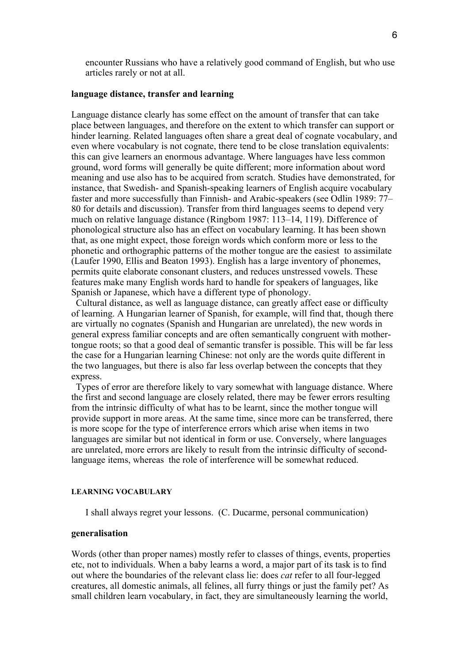encounter Russians who have a relatively good command of English, but who use articles rarely or not at all.

## **language distance, transfer and learning**

Language distance clearly has some effect on the amount of transfer that can take place between languages, and therefore on the extent to which transfer can support or hinder learning. Related languages often share a great deal of cognate vocabulary, and even where vocabulary is not cognate, there tend to be close translation equivalents: this can give learners an enormous advantage. Where languages have less common ground, word forms will generally be quite different; more information about word meaning and use also has to be acquired from scratch. Studies have demonstrated, for instance, that Swedish- and Spanish-speaking learners of English acquire vocabulary faster and more successfully than Finnish- and Arabic-speakers (see Odlin 1989: 77– 80 for details and discussion). Transfer from third languages seems to depend very much on relative language distance (Ringbom 1987: 113–14, 119). Difference of phonological structure also has an effect on vocabulary learning. It has been shown that, as one might expect, those foreign words which conform more or less to the phonetic and orthographic patterns of the mother tongue are the easiest to assimilate (Laufer 1990, Ellis and Beaton 1993). English has a large inventory of phonemes, permits quite elaborate consonant clusters, and reduces unstressed vowels. These features make many English words hard to handle for speakers of languages, like Spanish or Japanese, which have a different type of phonology.

 Cultural distance, as well as language distance, can greatly affect ease or difficulty of learning. A Hungarian learner of Spanish, for example, will find that, though there are virtually no cognates (Spanish and Hungarian are unrelated), the new words in general express familiar concepts and are often semantically congruent with mothertongue roots; so that a good deal of semantic transfer is possible. This will be far less the case for a Hungarian learning Chinese: not only are the words quite different in the two languages, but there is also far less overlap between the concepts that they express.

 Types of error are therefore likely to vary somewhat with language distance. Where the first and second language are closely related, there may be fewer errors resulting from the intrinsic difficulty of what has to be learnt, since the mother tongue will provide support in more areas. At the same time, since more can be transferred, there is more scope for the type of interference errors which arise when items in two languages are similar but not identical in form or use. Conversely, where languages are unrelated, more errors are likely to result from the intrinsic difficulty of secondlanguage items, whereas the role of interference will be somewhat reduced.

#### **LEARNING VOCABULARY**

I shall always regret your lessons. (C. Ducarme, personal communication)

## **generalisation**

Words (other than proper names) mostly refer to classes of things, events, properties etc, not to individuals. When a baby learns a word, a major part of its task is to find out where the boundaries of the relevant class lie: does *cat* refer to all four-legged creatures, all domestic animals, all felines, all furry things or just the family pet? As small children learn vocabulary, in fact, they are simultaneously learning the world,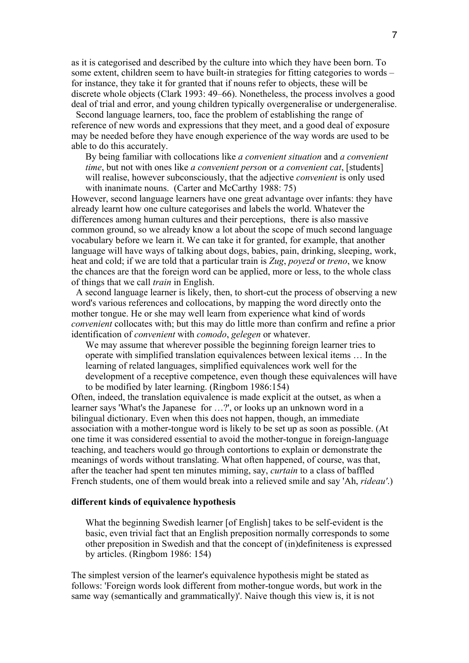as it is categorised and described by the culture into which they have been born. To some extent, children seem to have built-in strategies for fitting categories to words – for instance, they take it for granted that if nouns refer to objects, these will be discrete whole objects (Clark 1993: 49–66). Nonetheless, the process involves a good deal of trial and error, and young children typically overgeneralise or undergeneralise.

 Second language learners, too, face the problem of establishing the range of reference of new words and expressions that they meet, and a good deal of exposure may be needed before they have enough experience of the way words are used to be able to do this accurately.

By being familiar with collocations like *a convenient situation* and *a convenient time*, but not with ones like *a convenient person* or *a convenient cat*, [students] will realise, however subconsciously, that the adjective *convenient* is only used with inanimate nouns. (Carter and McCarthy 1988: 75)

However, second language learners have one great advantage over infants: they have already learnt how one culture categorises and labels the world. Whatever the differences among human cultures and their perceptions, there is also massive common ground, so we already know a lot about the scope of much second language vocabulary before we learn it. We can take it for granted, for example, that another language will have ways of talking about dogs, babies, pain, drinking, sleeping, work, heat and cold; if we are told that a particular train is *Zug*, *poyezd* or *treno*, we know the chances are that the foreign word can be applied, more or less, to the whole class of things that we call *train* in English.

 A second language learner is likely, then, to short-cut the process of observing a new word's various references and collocations, by mapping the word directly onto the mother tongue. He or she may well learn from experience what kind of words *convenient* collocates with; but this may do little more than confirm and refine a prior identification of *convenient* with *comodo*, *gelegen* or whatever.

We may assume that wherever possible the beginning foreign learner tries to operate with simplified translation equivalences between lexical items … In the learning of related languages, simplified equivalences work well for the development of a receptive competence, even though these equivalences will have to be modified by later learning. (Ringbom 1986:154)

Often, indeed, the translation equivalence is made explicit at the outset, as when a learner says 'What's the Japanese for …?', or looks up an unknown word in a bilingual dictionary. Even when this does not happen, though, an immediate association with a mother-tongue word is likely to be set up as soon as possible. (At one time it was considered essential to avoid the mother-tongue in foreign-language teaching, and teachers would go through contortions to explain or demonstrate the meanings of words without translating. What often happened, of course, was that, after the teacher had spent ten minutes miming, say, *curtain* to a class of baffled French students, one of them would break into a relieved smile and say 'Ah, *rideau'*.)

## **different kinds of equivalence hypothesis**

What the beginning Swedish learner [of English] takes to be self-evident is the basic, even trivial fact that an English preposition normally corresponds to some other preposition in Swedish and that the concept of (in)definiteness is expressed by articles. (Ringbom 1986: 154)

The simplest version of the learner's equivalence hypothesis might be stated as follows: 'Foreign words look different from mother-tongue words, but work in the same way (semantically and grammatically)'. Naive though this view is, it is not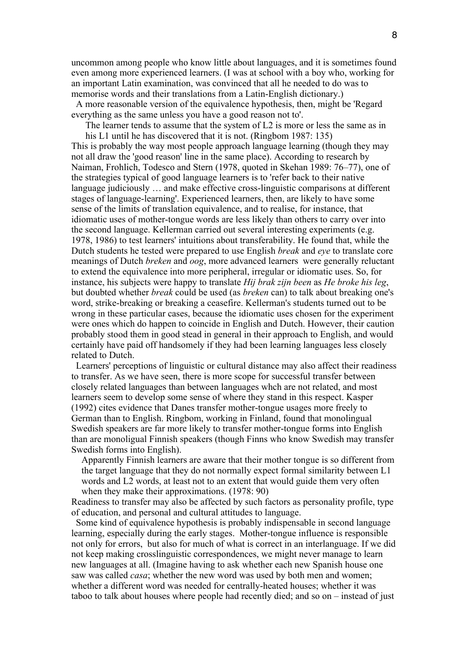uncommon among people who know little about languages, and it is sometimes found even among more experienced learners. (I was at school with a boy who, working for an important Latin examination, was convinced that all he needed to do was to memorise words and their translations from a Latin-English dictionary.)

 A more reasonable version of the equivalence hypothesis, then, might be 'Regard everything as the same unless you have a good reason not to'.

The learner tends to assume that the system of L2 is more or less the same as in his L1 until he has discovered that it is not. (Ringbom 1987: 135) This is probably the way most people approach language learning (though they may not all draw the 'good reason' line in the same place). According to research by Naiman, Frohlich, Todesco and Stern (1978, quoted in Skehan 1989: 76–77), one of the strategies typical of good language learners is to 'refer back to their native language judiciously … and make effective cross-linguistic comparisons at different

stages of language-learning'. Experienced learners, then, are likely to have some sense of the limits of translation equivalence, and to realise, for instance, that idiomatic uses of mother-tongue words are less likely than others to carry over into the second language. Kellerman carried out several interesting experiments (e.g. 1978, 1986) to test learners' intuitions about transferability. He found that, while the Dutch students he tested were prepared to use English *break* and *eye* to translate core meanings of Dutch *breken* and *oog*, more advanced learners were generally reluctant to extend the equivalence into more peripheral, irregular or idiomatic uses. So, for instance, his subjects were happy to translate *Hij brak zijn been* as *He broke his leg*, but doubted whether *break* could be used (as *breken* can) to talk about breaking one's word, strike-breaking or breaking a ceasefire. Kellerman's students turned out to be wrong in these particular cases, because the idiomatic uses chosen for the experiment were ones which do happen to coincide in English and Dutch. However, their caution probably stood them in good stead in general in their approach to English, and would certainly have paid off handsomely if they had been learning languages less closely related to Dutch.

 Learners' perceptions of linguistic or cultural distance may also affect their readiness to transfer. As we have seen, there is more scope for successful transfer between closely related languages than between languages whch are not related, and most learners seem to develop some sense of where they stand in this respect. Kasper (1992) cites evidence that Danes transfer mother-tongue usages more freely to German than to English. Ringbom, working in Finland, found that monolingual Swedish speakers are far more likely to transfer mother-tongue forms into English than are monoligual Finnish speakers (though Finns who know Swedish may transfer Swedish forms into English).

Apparently Finnish learners are aware that their mother tongue is so different from the target language that they do not normally expect formal similarity between L1 words and L2 words, at least not to an extent that would guide them very often when they make their approximations. (1978: 90)

Readiness to transfer may also be affected by such factors as personality profile, type of education, and personal and cultural attitudes to language.

 Some kind of equivalence hypothesis is probably indispensable in second language learning, especially during the early stages. Mother-tongue influence is responsible not only for errors, but also for much of what is correct in an interlanguage. If we did not keep making crosslinguistic correspondences, we might never manage to learn new languages at all. (Imagine having to ask whether each new Spanish house one saw was called *casa*; whether the new word was used by both men and women; whether a different word was needed for centrally-heated houses; whether it was taboo to talk about houses where people had recently died; and so on – instead of just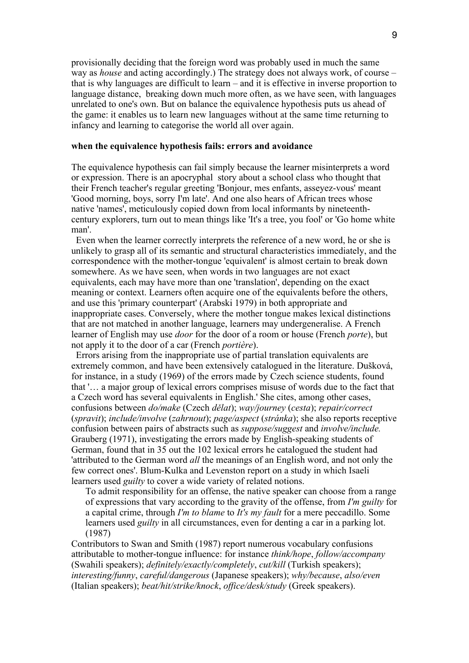provisionally deciding that the foreign word was probably used in much the same way as *house* and acting accordingly.) The strategy does not always work, of course – that is why languages are difficult to learn – and it is effective in inverse proportion to language distance, breaking down much more often, as we have seen, with languages unrelated to one's own. But on balance the equivalence hypothesis puts us ahead of the game: it enables us to learn new languages without at the same time returning to infancy and learning to categorise the world all over again.

## **when the equivalence hypothesis fails: errors and avoidance**

The equivalence hypothesis can fail simply because the learner misinterprets a word or expression. There is an apocryphal story about a school class who thought that their French teacher's regular greeting 'Bonjour, mes enfants, asseyez-vous' meant 'Good morning, boys, sorry I'm late'. And one also hears of African trees whose native 'names', meticulously copied down from local informants by nineteenthcentury explorers, turn out to mean things like 'It's a tree, you fool' or 'Go home white man'.

 Even when the learner correctly interprets the reference of a new word, he or she is unlikely to grasp all of its semantic and structural characteristics immediately, and the correspondence with the mother-tongue 'equivalent' is almost certain to break down somewhere. As we have seen, when words in two languages are not exact equivalents, each may have more than one 'translation', depending on the exact meaning or context. Learners often acquire one of the equivalents before the others, and use this 'primary counterpart' (Arabski 1979) in both appropriate and inappropriate cases. Conversely, where the mother tongue makes lexical distinctions that are not matched in another language, learners may undergeneralise. A French learner of English may use *door* for the door of a room or house (French *porte*), but not apply it to the door of a car (French *portière*).

 Errors arising from the inappropriate use of partial translation equivalents are extremely common, and have been extensively catalogued in the literature. Dušková, for instance, in a study (1969) of the errors made by Czech science students, found that '… a major group of lexical errors comprises misuse of words due to the fact that a Czech word has several equivalents in English.' She cites, among other cases, confusions between *do/make* (Czech *dělat*); *way/journey* (*cesta*); *repair/correct* (*spravit*); *include/involve* (*zahrnout*); *page/aspect* (*stránka*); she also reports receptive confusion between pairs of abstracts such as *suppose/suggest* and *involve/include.* Grauberg (1971), investigating the errors made by English-speaking students of German, found that in 35 out the 102 lexical errors he catalogued the student had 'attributed to the German word *all* the meanings of an English word, and not only the few correct ones'. Blum-Kulka and Levenston report on a study in which Isaeli learners used *guilty* to cover a wide variety of related notions.

To admit responsibility for an offense, the native speaker can choose from a range of expressions that vary according to the gravity of the offense, from *I'm guilty* for a capital crime, through *I'm to blame* to *It's my fault* for a mere peccadillo. Some learners used *guilty* in all circumstances, even for denting a car in a parking lot. (1987)

Contributors to Swan and Smith (1987) report numerous vocabulary confusions attributable to mother-tongue influence: for instance *think/hope*, *follow/accompany* (Swahili speakers); *definitely/exactly/completely*, *cut/kill* (Turkish speakers); *interesting/funny*, *careful/dangerous* (Japanese speakers); *why/because*, *also/even* (Italian speakers); *beat/hit/strike/knock*, *office/desk/study* (Greek speakers).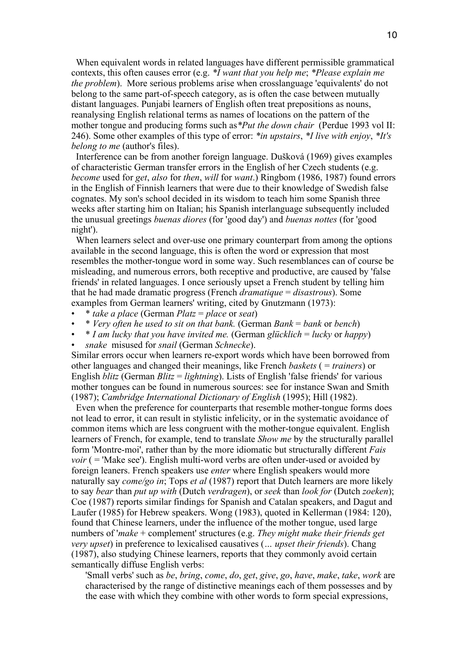When equivalent words in related languages have different permissible grammatical contexts, this often causes error (e.g. *\*I want that you help me*; *\*Please explain me the problem*). More serious problems arise when crosslanguage 'equivalents' do not belong to the same part-of-speech category, as is often the case between mutually distant languages. Punjabi learners of English often treat prepositions as nouns, reanalysing English relational terms as names of locations on the pattern of the mother tongue and producing forms such as*\*Put the down chair* (Perdue 1993 vol II: 246). Some other examples of this type of error: *\*in upstairs*, *\*I live with enjoy*, *\*It's belong to me* (author's files).

 Interference can be from another foreign language. Dušková (1969) gives examples of characteristic German transfer errors in the English of her Czech students (e.g. *become* used for *get*, *also* for *then*, *will* for *want*.) Ringbom (1986, 1987) found errors in the English of Finnish learners that were due to their knowledge of Swedish false cognates. My son's school decided in its wisdom to teach him some Spanish three weeks after starting him on Italian; his Spanish interlanguage subsequently included the unusual greetings *buenas diores* (for 'good day') and *buenas nottes* (for 'good night').

 When learners select and over-use one primary counterpart from among the options available in the second language, this is often the word or expression that most resembles the mother-tongue word in some way. Such resemblances can of course be misleading, and numerous errors, both receptive and productive, are caused by 'false friends' in related languages. I once seriously upset a French student by telling him that he had made dramatic progress (French *dramatique* = *disastrous*). Some examples from German learners' writing, cited by Gnutzmann (1973):

- \* *take a place* (German *Platz* = *place* or *seat*)
- \* *Very often he used to sit on that bank.* (German *Bank* = *bank* or *bench*)
- \* *I am lucky that you have invited me.* (German *glücklich* = *lucky* or *happy*)
- *snake* misused for *snail* (German *Schnecke*).

Similar errors occur when learners re-export words which have been borrowed from other languages and changed their meanings, like French *baskets* ( = *trainers*) or English *blitz* (German *Blitz* = *lightning*). Lists of English 'false friends' for various mother tongues can be found in numerous sources: see for instance Swan and Smith (1987); *Cambridge International Dictionary of English* (1995); Hill (1982).

Even when the preference for counterparts that resemble mother-tongue forms does not lead to error, it can result in stylistic infelicity, or in the systematic avoidance of common items which are less congruent with the mother-tongue equivalent. English learners of French, for example, tend to translate *Show me* by the structurally parallel form 'Montre-moi', rather than by the more idiomatic but structurally different *Fais voir* ( = 'Make see'). English multi-word verbs are often under-used or avoided by foreign leaners. French speakers use *enter* where English speakers would more naturally say *come/go in*; Tops *et al* (1987) report that Dutch learners are more likely to say *bear* than *put up with* (Dutch *verdragen*), or *seek* than *look for* (Dutch *zoeken*); Coe (1987) reports similar findings for Spanish and Catalan speakers, and Dagut and Laufer (1985) for Hebrew speakers. Wong (1983), quoted in Kellerman (1984: 120), found that Chinese learners, under the influence of the mother tongue, used large numbers of '*make* + complement' structures (e.g. *They might make their friends get very upset*) in preference to lexicalised causatives (*… upset their friends*). Chang (1987), also studying Chinese learners, reports that they commonly avoid certain semantically diffuse English verbs:

'Small verbs' such as *be*, *bring*, *come*, *do*, *get*, *give*, *go*, *have*, *make*, *take*, *work* are characterised by the range of distinctive meanings each of them possesses and by the ease with which they combine with other words to form special expressions,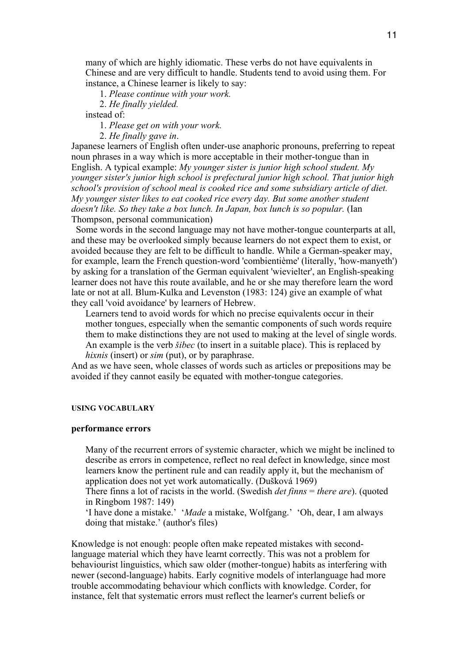many of which are highly idiomatic. These verbs do not have equivalents in Chinese and are very difficult to handle. Students tend to avoid using them. For instance, a Chinese learner is likely to say:

1. *Please continue with your work.*

2. *He finally yielded.*

instead of:

1. *Please get on with your work.*

2. *He finally gave in*.

Japanese learners of English often under-use anaphoric pronouns, preferring to repeat noun phrases in a way which is more acceptable in their mother-tongue than in English. A typical example: *My younger sister is junior high school student. My younger sister's junior high school is prefectural junior high school. That junior high school's provision of school meal is cooked rice and some subsidiary article of diet. My younger sister likes to eat cooked rice every day. But some another student doesn't like. So they take a box lunch. In Japan, box lunch is so popular.* (Ian Thompson, personal communication)

 Some words in the second language may not have mother-tongue counterparts at all, and these may be overlooked simply because learners do not expect them to exist, or avoided because they are felt to be difficult to handle. While a German-speaker may, for example, learn the French question-word 'combientième' (literally, 'how-manyeth') by asking for a translation of the German equivalent 'wievielter', an English-speaking learner does not have this route available, and he or she may therefore learn the word late or not at all. Blum-Kulka and Levenston (1983: 124) give an example of what they call 'void avoidance' by learners of Hebrew.

Learners tend to avoid words for which no precise equivalents occur in their mother tongues, especially when the semantic components of such words require them to make distinctions they are not used to making at the level of single words. An example is the verb *šibec* (to insert in a suitable place). This is replaced by *hixnis* (insert) or *sim* (put), or by paraphrase.

And as we have seen, whole classes of words such as articles or prepositions may be avoided if they cannot easily be equated with mother-tongue categories.

#### **USING VOCABULARY**

#### **performance errors**

Many of the recurrent errors of systemic character, which we might be inclined to describe as errors in competence, reflect no real defect in knowledge, since most learners know the pertinent rule and can readily apply it, but the mechanism of application does not yet work automatically. (Dušková 1969)

There finns a lot of racists in the world. (Swedish *det finns* = *there are*). (quoted in Ringbom 1987: 149)

'I have done a mistake.' '*Made* a mistake, Wolfgang.' 'Oh, dear, I am always doing that mistake.' (author's files)

Knowledge is not enough: people often make repeated mistakes with secondlanguage material which they have learnt correctly. This was not a problem for behaviourist linguistics, which saw older (mother-tongue) habits as interfering with newer (second-language) habits. Early cognitive models of interlanguage had more trouble accommodating behaviour which conflicts with knowledge. Corder, for instance, felt that systematic errors must reflect the learner's current beliefs or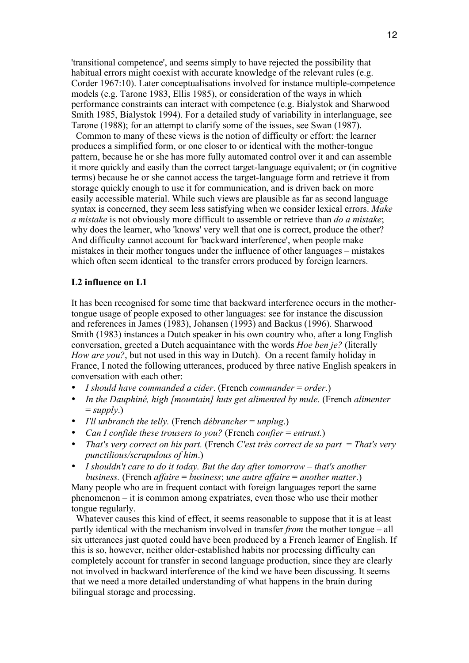'transitional competence', and seems simply to have rejected the possibility that habitual errors might coexist with accurate knowledge of the relevant rules (e.g. Corder 1967:10). Later conceptualisations involved for instance multiple-competence models (e.g. Tarone 1983, Ellis 1985), or consideration of the ways in which performance constraints can interact with competence (e.g. Bialystok and Sharwood Smith 1985, Bialystok 1994). For a detailed study of variability in interlanguage, see Tarone (1988); for an attempt to clarify some of the issues, see Swan (1987).

 Common to many of these views is the notion of difficulty or effort: the learner produces a simplified form, or one closer to or identical with the mother-tongue pattern, because he or she has more fully automated control over it and can assemble it more quickly and easily than the correct target-language equivalent; or (in cognitive terms) because he or she cannot access the target-language form and retrieve it from storage quickly enough to use it for communication, and is driven back on more easily accessible material. While such views are plausible as far as second language syntax is concerned, they seem less satisfying when we consider lexical errors. *Make a mistake* is not obviously more difficult to assemble or retrieve than *do a mistake*; why does the learner, who 'knows' very well that one is correct, produce the other? And difficulty cannot account for 'backward interference', when people make mistakes in their mother tongues under the influence of other languages – mistakes which often seem identical to the transfer errors produced by foreign learners.

## **L2 influence on L1**

It has been recognised for some time that backward interference occurs in the mothertongue usage of people exposed to other languages: see for instance the discussion and references in James (1983), Johansen (1993) and Backus (1996). Sharwood Smith (1983) instances a Dutch speaker in his own country who, after a long English conversation, greeted a Dutch acquaintance with the words *Hoe ben je?* (literally *How are you?*, but not used in this way in Dutch). On a recent family holiday in France, I noted the following utterances, produced by three native English speakers in conversation with each other:

- *I should have commanded a cider*. (French *commander* = *order*.)
- *In the Dauphiné, high [mountain] huts get alimented by mule.* (French *alimenter*  $=$  *supply*.)
- *I'll unbranch the telly.* (French *débrancher* = *unplug*.)
- *Can I confide these trousers to you?* (French *confier* = *entrust.*)
- *That's very correct on his part.* (French *C'est très correct de sa part = That's very punctilious/scrupulous of him*.)
- *I shouldn't care to do it today. But the day after tomorrow – that's another business.* (French *affaire* = *business*; *une autre affaire* = *another matter*.)

Many people who are in frequent contact with foreign languages report the same phenomenon – it is common among expatriates, even those who use their mother tongue regularly.

 Whatever causes this kind of effect, it seems reasonable to suppose that it is at least partly identical with the mechanism involved in transfer *from* the mother tongue – all six utterances just quoted could have been produced by a French learner of English. If this is so, however, neither older-established habits nor processing difficulty can completely account for transfer in second language production, since they are clearly not involved in backward interference of the kind we have been discussing. It seems that we need a more detailed understanding of what happens in the brain during bilingual storage and processing.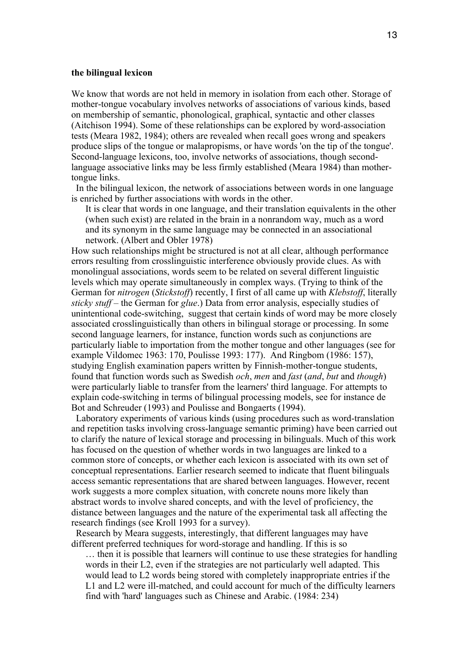## **the bilingual lexicon**

We know that words are not held in memory in isolation from each other. Storage of mother-tongue vocabulary involves networks of associations of various kinds, based on membership of semantic, phonological, graphical, syntactic and other classes (Aitchison 1994). Some of these relationships can be explored by word-association tests (Meara 1982, 1984); others are revealed when recall goes wrong and speakers produce slips of the tongue or malapropisms, or have words 'on the tip of the tongue'. Second-language lexicons, too, involve networks of associations, though secondlanguage associative links may be less firmly established (Meara 1984) than mothertongue links.

 In the bilingual lexicon, the network of associations between words in one language is enriched by further associations with words in the other.

It is clear that words in one language, and their translation equivalents in the other (when such exist) are related in the brain in a nonrandom way, much as a word and its synonym in the same language may be connected in an associational network. (Albert and Obler 1978)

How such relationships might be structured is not at all clear, although performance errors resulting from crosslinguistic interference obviously provide clues. As with monolingual associations, words seem to be related on several different linguistic levels which may operate simultaneously in complex ways. (Trying to think of the German for *nitrogen* (*Stickstoff*) recently, I first of all came up with *Klebstoff*, literally *sticky stuff* – the German for *glue*.) Data from error analysis, especially studies of unintentional code-switching, suggest that certain kinds of word may be more closely associated crosslinguistically than others in bilingual storage or processing. In some second language learners, for instance, function words such as conjunctions are particularly liable to importation from the mother tongue and other languages (see for example Vildomec 1963: 170, Poulisse 1993: 177). And Ringbom (1986: 157), studying English examination papers written by Finnish-mother-tongue students, found that function words such as Swedish *och*, *men* and *fast* (*and*, *but* and *though*) were particularly liable to transfer from the learners' third language. For attempts to explain code-switching in terms of bilingual processing models, see for instance de Bot and Schreuder (1993) and Poulisse and Bongaerts (1994).

 Laboratory experiments of various kinds (using procedures such as word-translation and repetition tasks involving cross-language semantic priming) have been carried out to clarify the nature of lexical storage and processing in bilinguals. Much of this work has focused on the question of whether words in two languages are linked to a common store of concepts, or whether each lexicon is associated with its own set of conceptual representations. Earlier research seemed to indicate that fluent bilinguals access semantic representations that are shared between languages. However, recent work suggests a more complex situation, with concrete nouns more likely than abstract words to involve shared concepts, and with the level of proficiency, the distance between languages and the nature of the experimental task all affecting the research findings (see Kroll 1993 for a survey).

 Research by Meara suggests, interestingly, that different languages may have different preferred techniques for word-storage and handling. If this is so

… then it is possible that learners will continue to use these strategies for handling words in their L2, even if the strategies are not particularly well adapted. This would lead to L2 words being stored with completely inappropriate entries if the L1 and L2 were ill-matched, and could account for much of the difficulty learners find with 'hard' languages such as Chinese and Arabic. (1984: 234)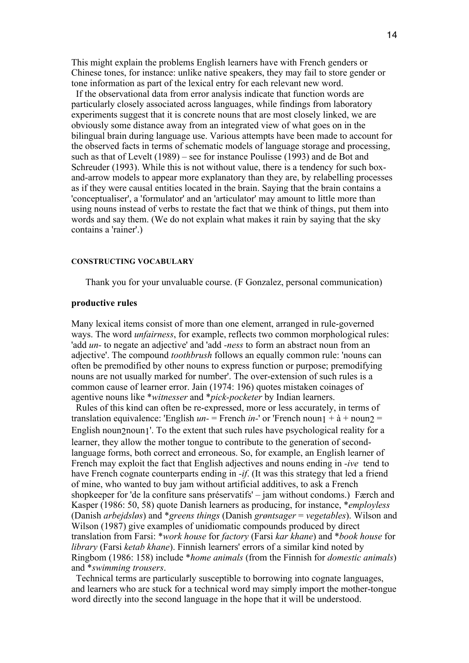This might explain the problems English learners have with French genders or Chinese tones, for instance: unlike native speakers, they may fail to store gender or tone information as part of the lexical entry for each relevant new word.

 If the observational data from error analysis indicate that function words are particularly closely associated across languages, while findings from laboratory experiments suggest that it is concrete nouns that are most closely linked, we are obviously some distance away from an integrated view of what goes on in the bilingual brain during language use. Various attempts have been made to account for the observed facts in terms of schematic models of language storage and processing, such as that of Levelt (1989) – see for instance Poulisse (1993) and de Bot and Schreuder (1993). While this is not without value, there is a tendency for such boxand-arrow models to appear more explanatory than they are, by relabelling processes as if they were causal entities located in the brain. Saying that the brain contains a 'conceptualiser', a 'formulator' and an 'articulator' may amount to little more than using nouns instead of verbs to restate the fact that we think of things, put them into words and say them. (We do not explain what makes it rain by saying that the sky contains a 'rainer'.)

#### **CONSTRUCTING VOCABULARY**

Thank you for your unvaluable course. (F Gonzalez, personal communication)

#### **productive rules**

Many lexical items consist of more than one element, arranged in rule-governed ways. The word *unfairness*, for example, reflects two common morphological rules: 'add *un-* to negate an adjective' and 'add *-ness* to form an abstract noun from an adjective'. The compound *toothbrush* follows an equally common rule: 'nouns can often be premodified by other nouns to express function or purpose; premodifying nouns are not usually marked for number'. The over-extension of such rules is a common cause of learner error. Jain (1974: 196) quotes mistaken coinages of agentive nouns like \**witnesser* and \**pick-pocketer* by Indian learners.

 Rules of this kind can often be re-expressed, more or less accurately, in terms of translation equivalence: 'English  $un$ - French *in*-' or 'French noun<sub>1</sub> +  $\hat{a}$  + noun<sub>2</sub> = English noun? noun1'. To the extent that such rules have psychological reality for a learner, they allow the mother tongue to contribute to the generation of secondlanguage forms, both correct and erroneous. So, for example, an English learner of French may exploit the fact that English adjectives and nouns ending in *-ive* tend to have French cognate counterparts ending in *-if*. (It was this strategy that led a friend of mine, who wanted to buy jam without artificial additives, to ask a French shopkeeper for 'de la confiture sans préservatifs' – jam without condoms.) Færch and Kasper (1986: 50, 58) quote Danish learners as producing, for instance, \**employless*  (Danish *arbejdsløs*) and \**greens things* (Danish *grøntsager* = *vegetables*). Wilson and Wilson (1987) give examples of unidiomatic compounds produced by direct translation from Farsi: \**work house* for *factory* (Farsi *kar khane*) and \**book house* for *library* (Farsi *ketab khane*). Finnish learners' errors of a similar kind noted by Ringbom (1986: 158) include \**home animals* (from the Finnish for *domestic animals*) and \**swimming trousers*.

 Technical terms are particularly susceptible to borrowing into cognate languages, and learners who are stuck for a technical word may simply import the mother-tongue word directly into the second language in the hope that it will be understood.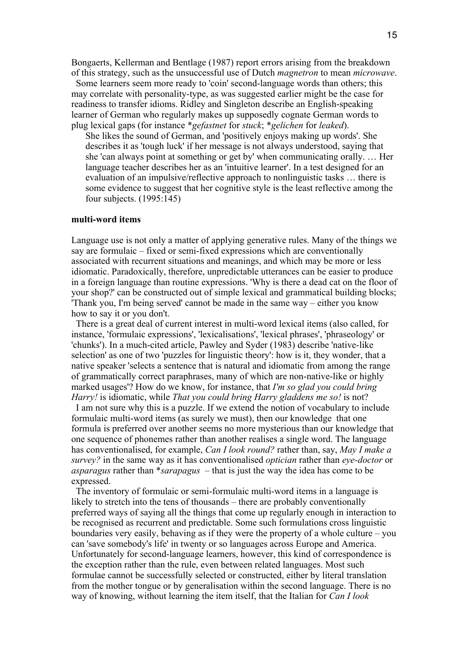Bongaerts, Kellerman and Bentlage (1987) report errors arising from the breakdown of this strategy, such as the unsuccessful use of Dutch *magnetron* to mean *microwave*.

 Some learners seem more ready to 'coin' second-language words than others; this may correlate with personality-type, as was suggested earlier might be the case for readiness to transfer idioms. Ridley and Singleton describe an English-speaking learner of German who regularly makes up supposedly cognate German words to plug lexical gaps (for instance \**gefastnet* for *stuck*; \**gelichen* for *leaked*).

She likes the sound of German, and 'positively enjoys making up words'. She describes it as 'tough luck' if her message is not always understood, saying that she 'can always point at something or get by' when communicating orally. … Her language teacher describes her as an 'intuitive learner'. In a test designed for an evaluation of an impulsive/reflective approach to nonlinguistic tasks … there is some evidence to suggest that her cognitive style is the least reflective among the four subjects. (1995:145)

## **multi-word items**

Language use is not only a matter of applying generative rules. Many of the things we say are formulaic – fixed or semi-fixed expressions which are conventionally associated with recurrent situations and meanings, and which may be more or less idiomatic. Paradoxically, therefore, unpredictable utterances can be easier to produce in a foreign language than routine expressions. 'Why is there a dead cat on the floor of your shop?' can be constructed out of simple lexical and grammatical building blocks; 'Thank you, I'm being served' cannot be made in the same way – either you know how to say it or you don't.

 There is a great deal of current interest in multi-word lexical items (also called, for instance, 'formulaic expressions', 'lexicalisations', 'lexical phrases', 'phraseology' or 'chunks'). In a much-cited article, Pawley and Syder (1983) describe 'native-like selection' as one of two 'puzzles for linguistic theory': how is it, they wonder, that a native speaker 'selects a sentence that is natural and idiomatic from among the range of grammatically correct paraphrases, many of which are non-native-like or highly marked usages'? How do we know, for instance, that *I'm so glad you could bring Harry!* is idiomatic, while *That you could bring Harry gladdens me so!* is not?

 I am not sure why this is a puzzle. If we extend the notion of vocabulary to include formulaic multi-word items (as surely we must), then our knowledge that one formula is preferred over another seems no more mysterious than our knowledge that one sequence of phonemes rather than another realises a single word. The language has conventionalised, for example, *Can I look round?* rather than, say, *May I make a survey?* in the same way as it has conventionalised *optician* rather than *eye-doctor* or *asparagus* rather than \**sarapagus* – that is just the way the idea has come to be expressed.

 The inventory of formulaic or semi-formulaic multi-word items in a language is likely to stretch into the tens of thousands – there are probably conventionally preferred ways of saying all the things that come up regularly enough in interaction to be recognised as recurrent and predictable. Some such formulations cross linguistic boundaries very easily, behaving as if they were the property of a whole culture – you can 'save somebody's life' in twenty or so languages across Europe and America. Unfortunately for second-language learners, however, this kind of correspondence is the exception rather than the rule, even between related languages. Most such formulae cannot be successfully selected or constructed, either by literal translation from the mother tongue or by generalisation within the second language. There is no way of knowing, without learning the item itself, that the Italian for *Can I look*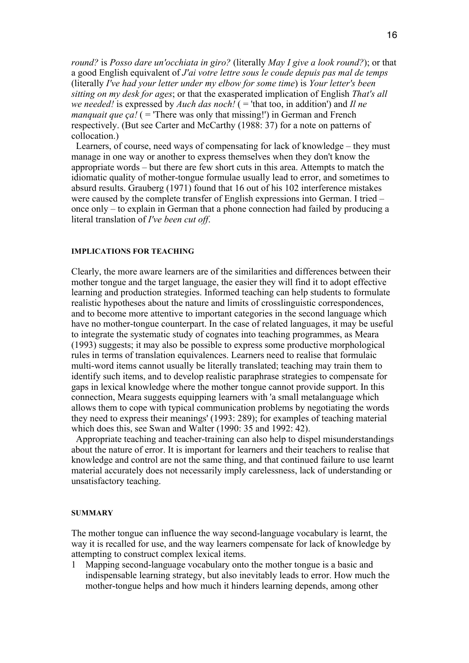*round?* is *Posso dare un'occhiata in giro?* (literally *May I give a look round?*); or that a good English equivalent of *J'ai votre lettre sous le coude depuis pas mal de temps* (literally *I've had your letter under my elbow for some time*) is *Your letter's been sitting on my desk for ages*; or that the exasperated implication of English *That's all we needed!* is expressed by *Auch das noch!* ( = 'that too, in addition') and *Il ne manquait que ça!* ( = 'There was only that missing!') in German and French respectively. (But see Carter and McCarthy (1988: 37) for a note on patterns of collocation.)

 Learners, of course, need ways of compensating for lack of knowledge – they must manage in one way or another to express themselves when they don't know the appropriate words – but there are few short cuts in this area. Attempts to match the idiomatic quality of mother-tongue formulae usually lead to error, and sometimes to absurd results. Grauberg (1971) found that 16 out of his 102 interference mistakes were caused by the complete transfer of English expressions into German. I tried – once only – to explain in German that a phone connection had failed by producing a literal translation of *I've been cut off*.

#### **IMPLICATIONS FOR TEACHING**

Clearly, the more aware learners are of the similarities and differences between their mother tongue and the target language, the easier they will find it to adopt effective learning and production strategies. Informed teaching can help students to formulate realistic hypotheses about the nature and limits of crosslinguistic correspondences, and to become more attentive to important categories in the second language which have no mother-tongue counterpart. In the case of related languages, it may be useful to integrate the systematic study of cognates into teaching programmes, as Meara (1993) suggests; it may also be possible to express some productive morphological rules in terms of translation equivalences. Learners need to realise that formulaic multi-word items cannot usually be literally translated; teaching may train them to identify such items, and to develop realistic paraphrase strategies to compensate for gaps in lexical knowledge where the mother tongue cannot provide support. In this connection, Meara suggests equipping learners with 'a small metalanguage which allows them to cope with typical communication problems by negotiating the words they need to express their meanings' (1993: 289); for examples of teaching material which does this, see Swan and Walter (1990: 35 and 1992: 42).

 Appropriate teaching and teacher-training can also help to dispel misunderstandings about the nature of error. It is important for learners and their teachers to realise that knowledge and control are not the same thing, and that continued failure to use learnt material accurately does not necessarily imply carelessness, lack of understanding or unsatisfactory teaching.

#### **SUMMARY**

The mother tongue can influence the way second-language vocabulary is learnt, the way it is recalled for use, and the way learners compensate for lack of knowledge by attempting to construct complex lexical items.

1 Mapping second-language vocabulary onto the mother tongue is a basic and indispensable learning strategy, but also inevitably leads to error. How much the mother-tongue helps and how much it hinders learning depends, among other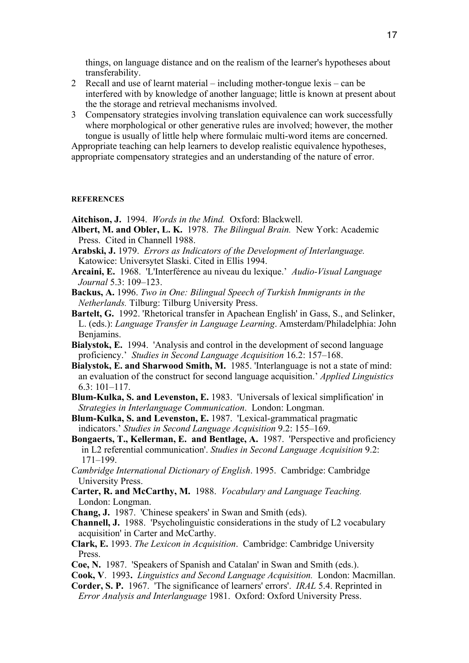things, on language distance and on the realism of the learner's hypotheses about transferability.

- 2 Recall and use of learnt material including mother-tongue lexis can be interfered with by knowledge of another language; little is known at present about the the storage and retrieval mechanisms involved.
- 3 Compensatory strategies involving translation equivalence can work successfully where morphological or other generative rules are involved; however, the mother tongue is usually of little help where formulaic multi-word items are concerned.

Appropriate teaching can help learners to develop realistic equivalence hypotheses, appropriate compensatory strategies and an understanding of the nature of error.

#### **REFERENCES**

**Aitchison, J.** 1994. *Words in the Mind.* Oxford: Blackwell.

- **Albert, M. and Obler, L. K.** 1978. *The Bilingual Brain.* New York: Academic Press. Cited in Channell 1988.
- **Arabski, J.** 1979. *Errors as Indicators of the Development of Interlanguage.*  Katowice: Universytet Slaski. Cited in Ellis 1994.
- **Arcaini, E.** 1968. 'L'Interférence au niveau du lexique.' *Audio-Visual Language Journal* 5.3: 109–123.
- **Backus, A.** 1996. *Two in One: Bilingual Speech of Turkish Immigrants in the Netherlands.* Tilburg: Tilburg University Press.
- **Bartelt, G.** 1992. 'Rhetorical transfer in Apachean English' in Gass, S., and Selinker, L. (eds.): *Language Transfer in Language Learning*. Amsterdam/Philadelphia: John Benjamins.
- **Bialystok, E.** 1994. 'Analysis and control in the development of second language proficiency.' *Studies in Second Language Acquisition* 16.2: 157–168.
- **Bialystok, E. and Sharwood Smith, M.** 1985. 'Interlanguage is not a state of mind: an evaluation of the construct for second language acquisition.' *Applied Linguistics*   $6.3:101-117$
- **Blum-Kulka, S. and Levenston, E.** 1983. 'Universals of lexical simplification' in *Strategies in Interlanguage Communication*. London: Longman.
- **Blum-Kulka, S. and Levenston, E.** 1987. 'Lexical-grammatical pragmatic indicators.' *Studies in Second Language Acquisition* 9.2: 155–169.
- **Bongaerts, T., Kellerman, E. and Bentlage, A.** 1987. 'Perspective and proficiency in L2 referential communication'. *Studies in Second Language Acquisition* 9.2: 171–199.
- *Cambridge International Dictionary of English*. 1995. Cambridge: Cambridge University Press.
- **Carter, R. and McCarthy, M.** 1988. *Vocabulary and Language Teaching.*  London: Longman.
- **Chang, J.** 1987. 'Chinese speakers' in Swan and Smith (eds).
- **Channell, J.** 1988. 'Psycholinguistic considerations in the study of L2 vocabulary acquisition' in Carter and McCarthy.
- **Clark, E.** 1993. *The Lexicon in Acquisition*. Cambridge: Cambridge University Press.
- **Coe, N.** 1987. 'Speakers of Spanish and Catalan' in Swan and Smith (eds.).
- **Cook, V**. 1993**.** *Linguistics and Second Language Acquisition.* London: Macmillan.
- **Corder, S. P.** 1967. 'The significance of learners' errors'. *IRAL* 5.4. Reprinted in *Error Analysis and Interlanguage* 1981. Oxford: Oxford University Press.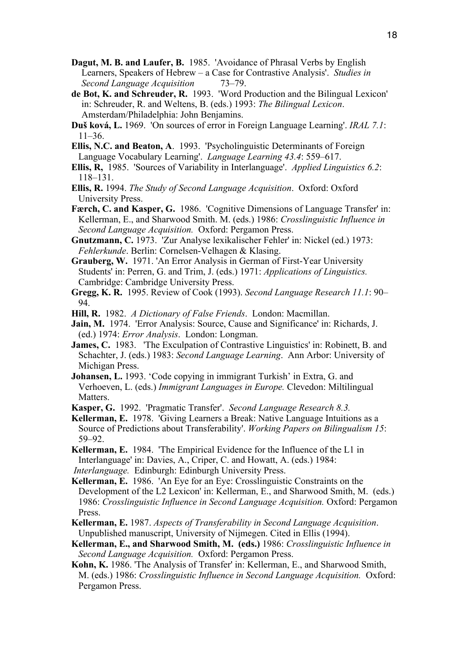- **Dagut, M. B. and Laufer, B.** 1985. 'Avoidance of Phrasal Verbs by English Learners, Speakers of Hebrew – a Case for Contrastive Analysis'. *Studies in Second Language Acquisition* 73–79.
- **de Bot, K. and Schreuder, R.** 1993. 'Word Production and the Bilingual Lexicon' in: Schreuder, R. and Weltens, B. (eds.) 1993: *The Bilingual Lexicon*. Amsterdam/Philadelphia: John Benjamins.
- **Duš** ková, L. 1969. 'On sources of error in Foreign Language Learning'. *IRAL* 7.1:  $11-36.$
- **Ellis, N.C. and Beaton, A**. 1993. 'Psycholinguistic Determinants of Foreign Language Vocabulary Learning'. *Language Learning 43.4*: 559–617.
- **Ellis, R,** 1985. 'Sources of Variability in Interlanguage'. *Applied Linguistics 6.2*: 118–131.
- **Ellis, R.** 1994. *The Study of Second Language Acquisition*. Oxford: Oxford University Press.
- **Færch, C. and Kasper, G.** 1986. 'Cognitive Dimensions of Language Transfer' in: Kellerman, E., and Sharwood Smith. M. (eds.) 1986: *Crosslinguistic Influence in Second Language Acquisition.* Oxford: Pergamon Press.
- **Gnutzmann, C.** 1973. 'Zur Analyse lexikalischer Fehler' in: Nickel (ed.) 1973: *Fehlerkunde*. Berlin: Cornelsen-Velhagen & Klasing.
- **Grauberg, W.** 1971. 'An Error Analysis in German of First-Year University Students' in: Perren, G. and Trim, J. (eds.) 1971: *Applications of Linguistics.* Cambridge: Cambridge University Press.
- **Gregg, K. R.** 1995. Review of Cook (1993). *Second Language Research 11.1*: 90– 94.
- **Hill, R.** 1982. *A Dictionary of False Friends*. London: Macmillan.
- **Jain, M.** 1974. 'Error Analysis: Source, Cause and Significance' in: Richards, J. (ed.) 1974: *Error Analysis*. London: Longman.
- **James, C.** 1983.'The Exculpation of Contrastive Linguistics' in: Robinett, B. and Schachter, J. (eds.) 1983: *Second Language Learning*. Ann Arbor: University of Michigan Press.
- **Johansen, L.** 1993. 'Code copying in immigrant Turkish' in Extra, G. and Verhoeven, L. (eds.) *Immigrant Languages in Europe.* Clevedon: Miltilingual Matters.
- **Kasper, G.** 1992. 'Pragmatic Transfer'. *Second Language Research 8.3.*
- **Kellerman, E.** 1978. 'Giving Learners a Break: Native Language Intuitions as a Source of Predictions about Transferability'. *Working Papers on Bilingualism 15*: 59–92.
- **Kellerman, E.** 1984. 'The Empirical Evidence for the Influence of the L1 in Interlanguage' in: Davies, A., Criper, C. and Howatt, A. (eds.) 1984:
- *Interlanguage.* Edinburgh: Edinburgh University Press.
- **Kellerman, E.** 1986. 'An Eye for an Eye: Crosslinguistic Constraints on the Development of the L2 Lexicon' in: Kellerman, E., and Sharwood Smith, M. (eds.) 1986: *Crosslinguistic Influence in Second Language Acquisition.* Oxford: Pergamon Press.
- **Kellerman, E.** 1987. *Aspects of Transferability in Second Language Acquisition*. Unpublished manuscript, University of Nijmegen. Cited in Ellis (1994).
- **Kellerman, E., and Sharwood Smith, M. (eds.)** 1986: *Crosslinguistic Influence in Second Language Acquisition.* Oxford: Pergamon Press.
- **Kohn, K.** 1986. 'The Analysis of Transfer' in: Kellerman, E., and Sharwood Smith, M. (eds.) 1986: *Crosslinguistic Influence in Second Language Acquisition.* Oxford: Pergamon Press.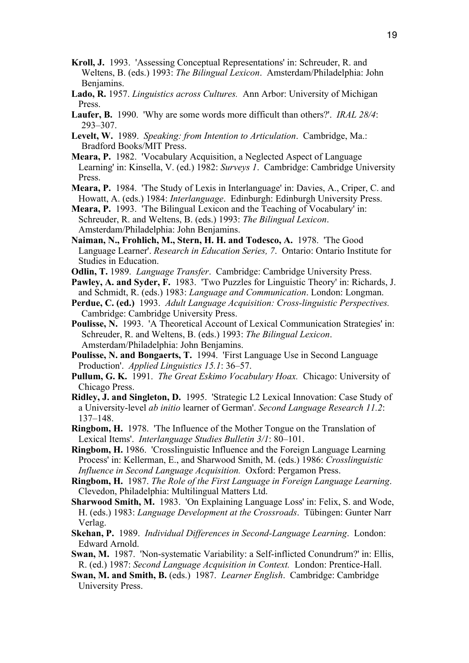- **Kroll, J.** 1993. 'Assessing Conceptual Representations' in: Schreuder, R. and Weltens, B. (eds.) 1993: *The Bilingual Lexicon*. Amsterdam/Philadelphia: John Benjamins.
- **Lado, R.** 1957. *Linguistics across Cultures.* Ann Arbor: University of Michigan Press.
- **Laufer, B.** 1990. 'Why are some words more difficult than others?'. *IRAL 28/4*: 293–307.
- **Levelt, W.** 1989. *Speaking: from Intention to Articulation*. Cambridge, Ma.: Bradford Books/MIT Press.
- **Meara, P.** 1982. 'Vocabulary Acquisition, a Neglected Aspect of Language Learning' in: Kinsella, V. (ed.) 1982: *Surveys 1*. Cambridge: Cambridge University Press.
- **Meara, P.** 1984. 'The Study of Lexis in Interlanguage' in: Davies, A., Criper, C. and Howatt, A. (eds.) 1984: *Interlanguage*. Edinburgh: Edinburgh University Press.
- **Meara, P.** 1993. 'The Bilingual Lexicon and the Teaching of Vocabulary' in: Schreuder, R. and Weltens, B. (eds.) 1993: *The Bilingual Lexicon*. Amsterdam/Philadelphia: John Benjamins.
- **Naiman, N., Frohlich, M., Stern, H. H. and Todesco, A.** 1978. 'The Good Language Learner'. *Research in Education Series, 7*. Ontario: Ontario Institute for Studies in Education.
- **Odlin, T.** 1989. *Language Transfer*. Cambridge: Cambridge University Press.
- **Pawley, A. and Syder, F.** 1983. 'Two Puzzles for Linguistic Theory' in: Richards, J. and Schmidt, R. (eds.) 1983: *Language and Communication*. London: Longman.
- **Perdue, C. (ed.)** 1993. *Adult Language Acquisition: Cross-linguistic Perspectives.*  Cambridge: Cambridge University Press.
- **Poulisse, N.** 1993. 'A Theoretical Account of Lexical Communication Strategies' in: Schreuder, R. and Weltens, B. (eds.) 1993: *The Bilingual Lexicon*. Amsterdam/Philadelphia: John Benjamins.
- **Poulisse, N. and Bongaerts, T.** 1994. 'First Language Use in Second Language Production'. *Applied Linguistics 15.1*: 36–57.
- **Pullum, G. K.** 1991. *The Great Eskimo Vocabulary Hoax.* Chicago: University of Chicago Press.
- **Ridley, J. and Singleton, D.** 1995. 'Strategic L2 Lexical Innovation: Case Study of a University-level *ab initio* learner of German'. *Second Language Research 11.2*: 137–148.
- **Ringbom, H.** 1978. 'The Influence of the Mother Tongue on the Translation of Lexical Items'. *Interlanguage Studies Bulletin 3/1*: 80–101.
- **Ringbom, H.** 1986. 'Crosslinguistic Influence and the Foreign Language Learning Process' in: Kellerman, E., and Sharwood Smith, M. (eds.) 1986: *Crosslinguistic Influence in Second Language Acquisition.* Oxford: Pergamon Press.
- **Ringbom, H.** 1987. *The Role of the First Language in Foreign Language Learning*. Clevedon, Philadelphia: Multilingual Matters Ltd.
- **Sharwood Smith, M.** 1983. 'On Explaining Language Loss' in: Felix, S. and Wode, H. (eds.) 1983: *Language Development at the Crossroads*. Tübingen: Gunter Narr Verlag.
- **Skehan, P.** 1989. *Individual Differences in Second-Language Learning*. London: Edward Arnold.
- **Swan, M.** 1987. 'Non-systematic Variability: a Self-inflicted Conundrum?' in: Ellis, R. (ed.) 1987: *Second Language Acquisition in Context.* London: Prentice-Hall.
- **Swan, M. and Smith, B.** (eds.) 1987. *Learner English*. Cambridge: Cambridge University Press.